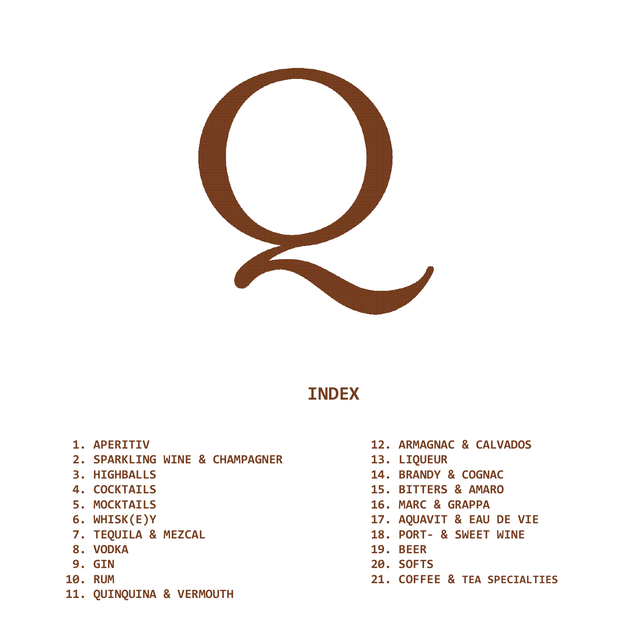

# **INDEX**

- **1. APERITIV**
- **2. SPARKLING WINE & CHAMPAGNER**
- **3. HIGHBALLS**
- **4. COCKTAILS**
- **5. MOCKTAILS**
- **6. WHISK(E)Y**
- **7. TEQUILA & MEZCAL**
- **8. VODKA**
- **9. GIN**
- **10. RUM**
- **11. QUINQUINA & VERMOUTH**
- **12. ARMAGNAC & CALVADOS**
- **13. LIQUEUR**
- **14. BRANDY & COGNAC**
- **15. BITTERS & AMARO**
- **16. MARC & GRAPPA**
- **17. AQUAVIT & EAU DE VIE**
- **18. PORT- & SWEET WINE**
- **19. BEER**
- **20. SOFTS**
- **21. COFFEE & TEA SPECIALTIES**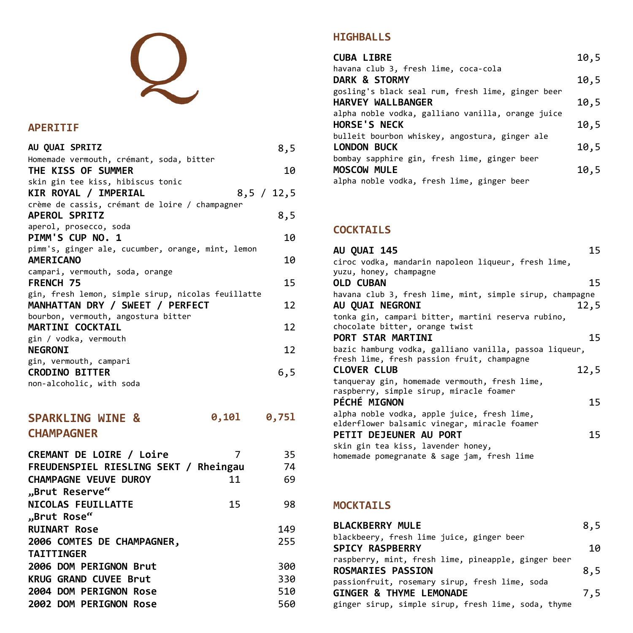# $\boldsymbol{\mathcal{Q}}$

#### **APERITIF**

| AU QUAI SPRITZ                                     | 8,5 |
|----------------------------------------------------|-----|
| Homemade vermouth, crémant, soda, bitter           |     |
| THE KISS OF SUMMER                                 | 10  |
| skin gin tee kiss, hibiscus tonic                  |     |
| KIR ROYAL / IMPERIAL<br>8,5 / 12,5                 |     |
| crème de cassis, crémant de loire / champagner     |     |
| <b>APEROL SPRITZ</b>                               | 8,5 |
| aperol, prosecco, soda                             |     |
| PIMM'S CUP NO. 1                                   | 10  |
| pimm's, ginger ale, cucumber, orange, mint, lemon  |     |
| <b>AMERICANO</b>                                   | 10  |
| campari, vermouth, soda, orange                    |     |
| <b>FRENCH 75</b>                                   | 15  |
| gin, fresh lemon, simple sirup, nicolas feuillatte |     |
| MANHATTAN DRY / SWEET / PERFECT                    | 12  |
| bourbon, vermouth, angostura bitter                |     |
| <b>MARTINI COCKTAIL</b>                            | 12  |
| gin / vodka, vermouth                              |     |
| <b>NEGRONI</b>                                     | 12  |
| gin, vermouth, campari                             |     |
| <b>CRODINO BITTER</b>                              | 6,5 |
| non-alcoholic, with soda                           |     |

#### **SPARKLING WINE & CHAMPAGNER 0,10l 0,75l**

| FREUDENSPIEL RIESLING SEKT / Rheingau | 35<br>74 |
|---------------------------------------|----------|
| 11                                    | 69       |
|                                       |          |
| 15                                    | 98       |
|                                       |          |
|                                       | 149      |
|                                       | 255      |
|                                       |          |
|                                       | 300      |
|                                       | 330      |
|                                       | 510      |
|                                       | 560      |
|                                       |          |

### **HIGHBALLS**

| <b>CUBA LIBRE</b>                                 | 10,5 |
|---------------------------------------------------|------|
| havana club 3, fresh lime, coca-cola              |      |
| DARK & STORMY                                     | 10,5 |
| gosling's black seal rum, fresh lime, ginger beer |      |
| HARVEY WALLBANGER                                 | 10,5 |
| alpha noble vodka, galliano vanilla, orange juice |      |
| <b>HORSE'S NECK</b>                               | 10,5 |
| bulleit bourbon whiskey, angostura, ginger ale    |      |
| <b>LONDON BUCK</b>                                | 10,5 |
| bombay sapphire gin, fresh lime, ginger beer      |      |
| <b>MOSCOW MULE</b>                                | 10,5 |
| alpha noble vodka, fresh lime, ginger beer        |      |

## **COCKTAILS**

| 15<br>AU OUAI 145                                        |
|----------------------------------------------------------|
| ciroc vodka, mandarin napoleon liqueur, fresh lime,      |
| yuzu, honey, champagne                                   |
| <b>OLD CUBAN</b><br>15                                   |
| havana club 3, fresh lime, mint, simple sirup, champagne |
| AU OUAI NEGRONI<br>12,5                                  |
| tonka gin, campari bitter, martini reserva rubino,       |
| chocolate bitter, orange twist                           |
| 15<br>PORT STAR MARTINI                                  |
| bazic hamburg vodka, galliano vanilla, passoa liqueur,   |
| fresh lime, fresh passion fruit, champagne               |
| <b>CLOVER CLUB</b><br>12,5                               |
| tanqueray gin, homemade vermouth, fresh lime,            |
| raspberry, simple sirup, miracle foamer                  |
| <b>PÉCHÉ MIGNON</b><br>15                                |
| alpha noble vodka, apple juice, fresh lime,              |
| elderflower balsamic vinegar, miracle foamer             |
| PETIT DEJEUNER AU PORT<br>15                             |
| skin gin tea kiss, lavender honey,                       |
| homemade pomegranate & sage jam, fresh lime              |

### **MOCKTAILS**

| <b>BLACKBERRY MULE</b>                              | 8,5 |
|-----------------------------------------------------|-----|
| blackbeery, fresh lime juice, ginger beer           |     |
| <b>SPICY RASPBERRY</b>                              | 10  |
| raspberry, mint, fresh lime, pineapple, ginger beer |     |
| <b>ROSMARIES PASSION</b>                            | 8,5 |
| passionfruit, rosemary sirup, fresh lime, soda      |     |
| <b>GINGER &amp; THYME LEMONADE</b>                  | 7,5 |
| ginger sirup, simple sirup, fresh lime, soda, thyme |     |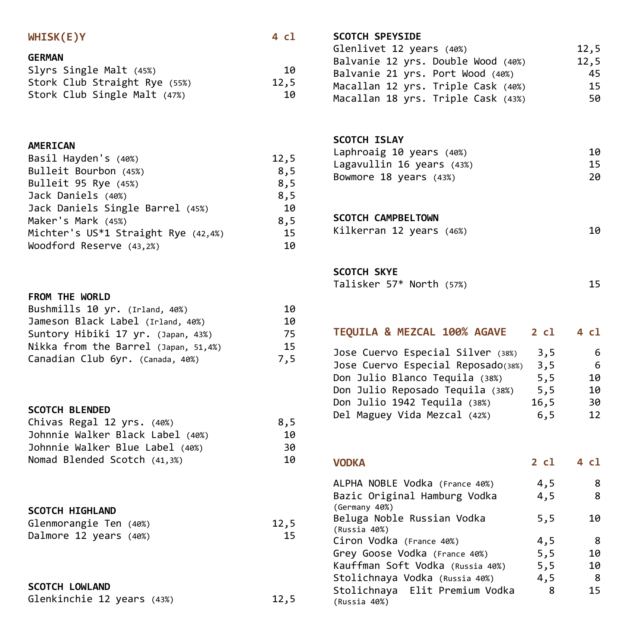| WHISK(E)Y               | 4 cl |
|-------------------------|------|
| <b>GERMAN</b>           |      |
| Slyrs Single Malt (45%) | 10   |

| Stork Club Straight Rye (55%) | 12,5 |
|-------------------------------|------|
| Stork Club Single Malt (47%)  | 10   |

#### **AMERICAN**

| Basil Hayden's (40%)                | 12,5 |
|-------------------------------------|------|
| Bulleit Bourbon (45%)               | 8,5  |
| Bulleit 95 Rye (45%)                | 8,5  |
| Jack Daniels (40%)                  | 8,5  |
| Jack Daniels Single Barrel (45%)    | 10   |
| Maker's Mark (45%)                  | 8,5  |
| Michter's US*1 Straight Rye (42,4%) | 15   |
| Woodford Reserve (43,2%)            | 10   |

#### **FROM THE WORLD**

| Bushmills 10 yr. (Irland, 40%)       | 10  |
|--------------------------------------|-----|
| Jameson Black Label (Irland, 40%)    | 10  |
| Suntory Hibiki 17 yr. (Japan, 43%)   | 75  |
| Nikka from the Barrel (Japan, 51,4%) | 15  |
| Canadian Club 6yr. (Canada, 40%)     | 7,5 |

#### **SCOTCH BLENDED**

| Chivas Regal 12 yrs. (40%)       | 8.5 |
|----------------------------------|-----|
| Johnnie Walker Black Label (40%) | 10  |
| Johnnie Walker Blue Label (40%)  | 30  |
| Nomad Blended Scotch (41,3%)     | 10  |

# **SCOTCH HIGHLAND**

| Glenmorangie Ten (40%) | 12,5 |
|------------------------|------|
| Dalmore 12 years (40%) | 15   |

# **SCOTCH LOWLAND**

| Glenkinchie 12 years (43%) |  |  | 12,5 |
|----------------------------|--|--|------|
|----------------------------|--|--|------|

# **SCOTCH SPEYSIDE**

| Glenlivet 12 years (40%)           | 12,5 |
|------------------------------------|------|
| Balvanie 12 yrs. Double Wood (40%) | 12,5 |
| Balvanie 21 yrs. Port Wood (40%)   | 45   |
| Macallan 12 yrs. Triple Cask (40%) | 15.  |
| Macallan 18 yrs. Triple Cask (43%) | 50   |
|                                    |      |

#### **SCOTCH ISLAY**

| Laphroaig 10 years (40%)  | 10  |
|---------------------------|-----|
| Lagavullin 16 years (43%) | 15. |
| Bowmore 18 years (43%)    | 20  |

#### **SCOTCH CAMPBELTOWN**

| Kilkerran 12 years (46%) |  | 10 |
|--------------------------|--|----|
|--------------------------|--|----|

#### **SCOTCH SKYE**

| _____________            |  |  |
|--------------------------|--|--|
| Talisker 57* North (57%) |  |  |

## **TEQUILA & MEZCAL 100% AGAVE 2 cl 4 cl** Jose Cuervo Especial Silver (38%) 3,5 6<br>Jose Cuervo Especial Reposado(38%) 3.5 6 Jose Cuervo Especial Reposado(38%) 3,5 6<br>Don Julio Blanco Tequila (38%) 5,5 10 Don Julio Blanco Tequila (38%) 5,5<br>Don Julio Reposado Tequila (38%) 5,5 Don Julio Reposado Tequila (38%) 5,5 10<br>Don Julio 1942 Tequila (38%) 16,5 30 Don Julio 1942 Tequila (38%) Del Maguey Vida Mezcal (42%) 6,5 12

| <b>VODKA</b>                   | 2 cl | 4 cl |
|--------------------------------|------|------|
| ALPHA NOBLE Vodka (France 40%) | 4.5  |      |

| Bazic Original Hamburg Vodka     | 4,5 | 8  |
|----------------------------------|-----|----|
| (Germany 40%)                    |     |    |
| Beluga Noble Russian Vodka       | 5,5 | 10 |
| (Russia 40%)                     |     |    |
| Ciron Vodka (France 40%)         | 4,5 | 8  |
| Grey Goose Vodka (France 40%)    | 5,5 | 10 |
| Kauffman Soft Vodka (Russia 40%) | 5,5 | 10 |
| Stolichnaya Vodka (Russia 40%)   | 4,5 | -8 |
| Stolichnaya Elit Premium Vodka   | 8   | 15 |
| (Russia 40%)                     |     |    |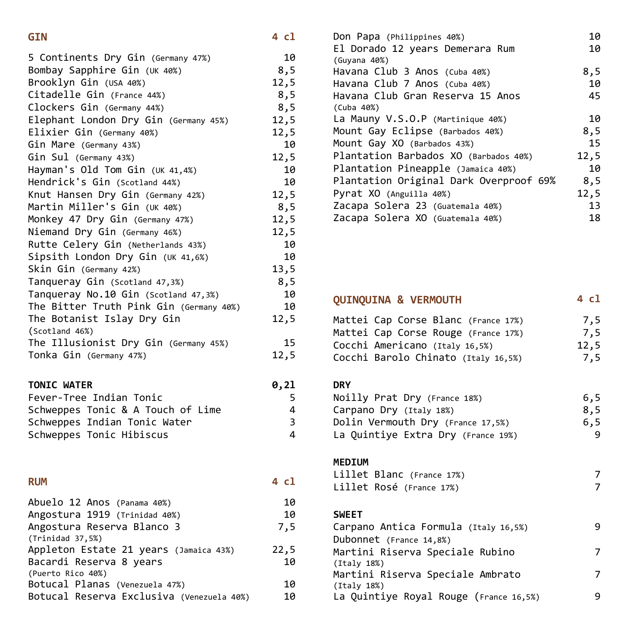#### **GIN 4 cl**

| 5 Continents Dry Gin (Germany 47%)<br>Bombay Sapphire Gin (UK 40%) | 10<br>8,5 |
|--------------------------------------------------------------------|-----------|
| Brooklyn Gin (USA 40%)                                             | 12,5      |
| Citadelle Gin (France 44%)                                         | 8,5       |
| Clockers Gin (Germany 44%)                                         | 8,5       |
| Elephant London Dry Gin (Germany 45%)                              | 12,5      |
| Elixier Gin (Germany 40%)                                          | 12,5      |
| Gin Mare (Germany 43%)                                             | 10        |
| Gin Sul (Germany 43%)                                              | 12,5      |
| Hayman's Old Tom Gin (UK 41,4%)                                    | 10        |
| Hendrick's Gin (Scotland 44%)                                      | 10        |
| Knut Hansen Dry Gin (Germany 42%)                                  | 12,5      |
| Martin Miller's Gin (UK 40%)                                       | 8,5       |
| Monkey 47 Dry Gin (Germany 47%)                                    | 12,5      |
| Niemand Dry Gin (Germany 46%)                                      | 12,5      |
| Rutte Celery Gin (Netherlands 43%)                                 | 10        |
| Sipsith London Dry Gin (UK 41,6%)                                  | 10        |
| Skin Gin (Germany 42%)                                             | 13,5      |
| Tanqueray Gin (Scotland 47,3%)                                     | 8,5       |
| Tanqueray No.10 Gin (Scotland 47,3%)                               | 10        |
| The Bitter Truth Pink Gin (Germany 40%)                            | 10        |
| The Botanist Islay Dry Gin                                         | 12,5      |
| (Scotland 46%)                                                     |           |
| The Illusionist Dry Gin (Germany 45%)                              | 15        |
| Tonka Gin (Germany 47%)                                            | 12,5      |
| <b>TONIC WATER</b>                                                 | 0,21      |

| Fever-Tree Indian Tonic           |   |
|-----------------------------------|---|
| Schweppes Tonic & A Touch of Lime | Δ |
| Schweppes Indian Tonic Water      | 3 |
| Schweppes Tonic Hibiscus          | 4 |

#### **RUM 4 cl**

| Abuelo 12 Anos (Panama 40%)               | 10   |
|-------------------------------------------|------|
| Angostura 1919 (Trinidad 40%)             | 10   |
| Angostura Reserva Blanco 3                | 7,5  |
| (Trindad 37,5%)                           |      |
| Appleton Estate 21 years (Jamaica 43%)    | 22,5 |
| Bacardi Reserva 8 years                   | 10   |
| (Puerto Rico 40%)                         |      |
| Botucal Planas (Venezuela 47%)            | 10   |
| Botucal Reserva Exclusiva (Venezuela 40%) | 10   |

| Don Papa (Philippines 40%)             | 10   |
|----------------------------------------|------|
| El Dorado 12 years Demerara Rum        | 10   |
| (Guyana 40%)                           |      |
| Havana Club 3 Anos (Cuba 40%)          | 8,5  |
| Havana Club 7 Anos (Cuba 40%)          | 10   |
| Havana Club Gran Reserva 15 Anos       | 45   |
| (Cuba 40%)                             |      |
| La Mauny $V.S.O.P$ (Martinique 40%)    | 10   |
| Mount Gay Eclipse (Barbados 40%)       | 8,5  |
| Mount Gay XO (Barbados 43%)            | 15   |
| Plantation Barbados XO (Barbados 40%)  | 12,5 |
| Plantation Pineapple (Jamaica 40%)     | 10   |
| Plantation Original Dark Overproof 69% | 8,5  |
| Pyrat XO (Anguilla 40%)                | 12,5 |
| Zacapa Solera 23 (Guatemala 40%)       | 13   |
| Zacapa Solera XO (Guatemala 40%)       | 18.  |
|                                        |      |

# **QUINQUINA & VERMOUTH 4 cl**

| Mattei Cap Corse Blanc (France 17%) | 7.5  |
|-------------------------------------|------|
| Mattei Cap Corse Rouge (France 17%) | 7,5  |
| Cocchi Americano (Italy 16,5%)      | 12,5 |
| Cocchi Barolo Chinato (Italy 16,5%) | 7,5  |

#### **DRY**

| Noilly Prat Dry (France 18%)       | 6.5  |
|------------------------------------|------|
| Carpano Dry (Italy 18%)            | 8.5  |
| Dolin Vermouth Dry (France 17,5%)  | 6, 5 |
| La Quintiye Extra Dry (France 19%) |      |

#### **MEDIUM**

| Lillet Blanc (France 17%) |  |
|---------------------------|--|
| Lillet Rosé (France 17%)  |  |

#### **SWEET**

| Carpano Antica Formula (Italy 16,5%)   |  |
|----------------------------------------|--|
| Dubonnet (France 14,8%)                |  |
| Martini Riserva Speciale Rubino        |  |
| (Italv 18%)                            |  |
| Martini Riserva Speciale Ambrato       |  |
| (Italv 18%)                            |  |
| La Quintiye Royal Rouge (France 16,5%) |  |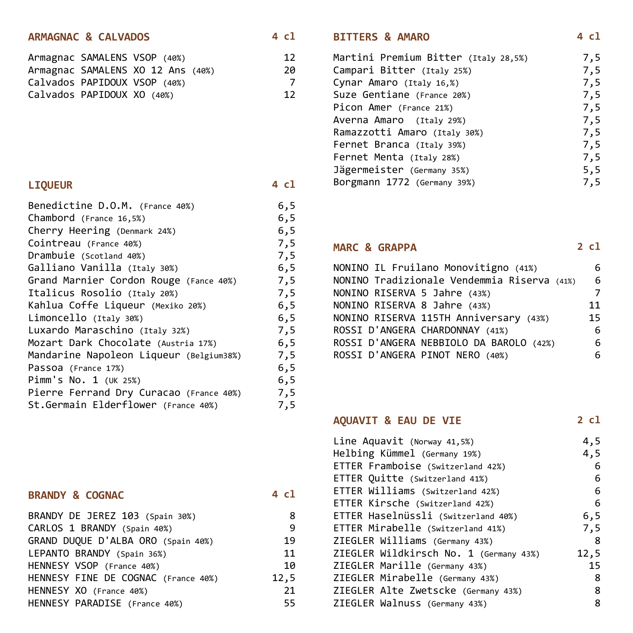#### **ARMAGNAC & CALVADOS**

|  |                                                                                            | 12                                |
|--|--------------------------------------------------------------------------------------------|-----------------------------------|
|  |                                                                                            | 20                                |
|  |                                                                                            |                                   |
|  |                                                                                            | 12                                |
|  | Armagnac SAMALENS VSOP (40%)<br>Calvados PAPIDOUX VSOP (40%)<br>Calvados PAPIDOUX XO (40%) | Armagnac SAMALENS XO 12 Ans (40%) |

#### **LIQUEUR 4 cl**

| 6,5  |
|------|
| 6, 5 |
| 6, 5 |
| 7,5  |
| 7,5  |
| 6, 5 |
| 7,5  |
| 7,5  |
| 6,5  |
| 6, 5 |
| 7,5  |
| 6, 5 |
| 7,5  |
| 6, 5 |
| 6,5  |
| 7,5  |
| 7,5  |
|      |

#### **BRANDY & COGNAC 4 cl**

| BRANDY DE JEREZ 103 (Spain 30%)     | 8    |
|-------------------------------------|------|
| CARLOS 1 BRANDY (Spain 40%)         | q    |
| GRAND DUQUE D'ALBA ORO (Spain 40%)  | 19.  |
| LEPANTO BRANDY (Spain 36%)          | 11   |
| HENNESY VSOP (France 40%)           | 10   |
| HENNESY FINE DE COGNAC (France 40%) | 12,5 |
| HENNESY XO (France 40%)             | 21   |
| HENNESY PARADISE (France 40%)       | 55.  |

### **BITTERS & AMARO 4 cl**

| Martini Premium Bitter (Italy 28,5%) | 7,5 |
|--------------------------------------|-----|
| Campari Bitter (Italy 25%)           | 7,5 |
| Cynar Amaro (Italy 16,%)             | 7,5 |
| Suze Gentiane (France 20%)           | 7,5 |
| Picon Amer (France 21%)              | 7,5 |
| Averna Amaro (Italy 29%)             | 7,5 |
| Ramazzotti Amaro (Italy 30%)         | 7,5 |
| Fernet Branca (Italy 39%)            | 7,5 |
| Fernet Menta (Italy 28%)             | 7,5 |
| Jägermeister (Germany 35%)           | 5,5 |
| Borgmann 1772 (Germany 39%)          | 7.5 |
|                                      |     |

#### **MARC & GRAPPA 2 cl**  $N$ ONINO IL FRUILANO MONOVITIGNO (41%) 6

| NONINO IL Fruilano Monovitigno (41%)        |    |
|---------------------------------------------|----|
| NONINO Tradizionale Vendemmia Riserva (41%) | 6  |
| NONINO RISERVA 5 Jahre (43%)                | 7  |
| NONINO RISERVA 8 Jahre (43%)                | 11 |
| NONINO RISERVA 115TH Anniversary (43%)      | 15 |
| ROSSI D'ANGERA CHARDONNAY (41%)             | -6 |
| ROSSI D'ANGERA NEBBIOLO DA BAROLO (42%)     | -6 |
| ROSSI D'ANGERA PINOT NERO (40%)             | 6. |
|                                             |    |

# **AQUAVIT & EAU DE VIE 2 cl**

| Line Aquavit (Norway 41,5%)            | 4,5  |
|----------------------------------------|------|
| Helbing Kümmel (Germany 19%)           | 4,5  |
| ETTER Framboise (Switzerland 42%)      | 6    |
| ETTER Quitte (Switzerland 41%)         | 6    |
| ETTER Williams (Switzerland 42%)       | 6    |
| ETTER Kirsche (Switzerland 42%)        | 6    |
| ETTER Haselnüssli (Switzerland 40%)    | 6,5  |
| ETTER Mirabelle (Switzerland 41%)      | 7,5  |
| ZIEGLER Williams (Germany 43%)         | -8   |
| ZIEGLER Wildkirsch No. 1 (Germany 43%) | 12,5 |
| ZIEGLER Marille (Germany 43%)          | 15   |
| ZIEGLER Mirabelle (Germany 43%)        | 8    |
| ZIEGLER Alte Zwetscke (Germany 43%)    | 8    |
| ZIEGLER Walnuss (Germany 43%)          | 8    |